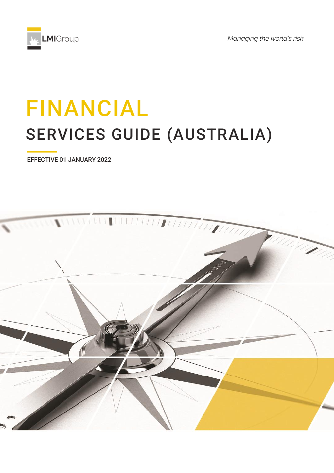

*Managing the world's risk*

# FINANCIAL SERVICES GUIDE (AUSTRALIA)

EFFECTIVE 01 JANUARY 2022

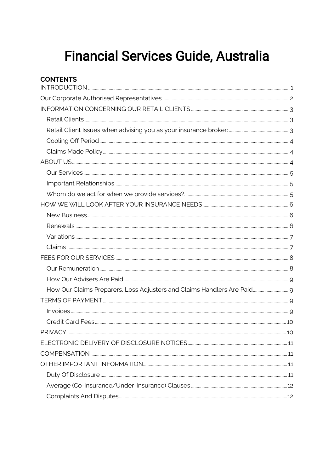# **Financial Services Guide, Australia**

| <b>CONTENTS</b>                                                       |  |
|-----------------------------------------------------------------------|--|
|                                                                       |  |
|                                                                       |  |
|                                                                       |  |
|                                                                       |  |
|                                                                       |  |
|                                                                       |  |
|                                                                       |  |
|                                                                       |  |
|                                                                       |  |
|                                                                       |  |
|                                                                       |  |
|                                                                       |  |
|                                                                       |  |
|                                                                       |  |
|                                                                       |  |
|                                                                       |  |
|                                                                       |  |
|                                                                       |  |
|                                                                       |  |
| How Our Claims Preparers, Loss Adjusters and Claims Handlers Are Paid |  |
|                                                                       |  |
|                                                                       |  |
|                                                                       |  |
|                                                                       |  |
|                                                                       |  |
|                                                                       |  |
|                                                                       |  |
|                                                                       |  |
|                                                                       |  |
|                                                                       |  |
|                                                                       |  |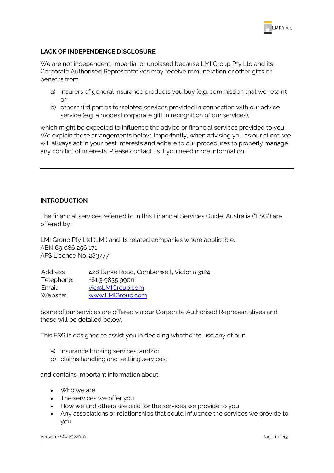

# **LACK OF INDEPENDENCE DISCLOSURE**

We are not independent, impartial or unbiased because LMI Group Pty Ltd and its Corporate Authorised Representatives may receive remuneration or other gifts or benefits from:

- a) insurers of general insurance products you buy (e.g. commission that we retain); or
- b) other third parties for related services provided in connection with our advice service (e.g. a modest corporate gift in recognition of our services),

which might be expected to influence the advice or financial services provided to you. We explain these arrangements below. Importantly, when advising you as our client, we will always act in your best interests and adhere to our procedures to properly manage any conflict of interests. Please contact us if you need more information.

# <span id="page-2-0"></span>**INTRODUCTION**

The financial services referred to in this Financial Services Guide, Australia ("FSG") are offered by:

LMI Group Pty Ltd (LMI) and its related companies where applicable. ABN 69 086 256 171 AFS Licence No. 283777

| Address:   | 428 Burke Road, Camberwell, Victoria 3124 |
|------------|-------------------------------------------|
| Telephone: | +61 3 9835 9900                           |
| Email:     | vic@LMIGroup.com                          |
| Website:   | www.LMIGroup.com                          |

Some of our services are offered via our Corporate Authorised Representatives and these will be detailed below.

This FSG is designed to assist you in deciding whether to use any of our:

- a) insurance broking services; and/or
- b) claims handling and settling services;

and contains important information about:

- Who we are
- The services we offer you
- How we and others are paid for the services we provide to you
- Any associations or relationships that could influence the services we provide to you.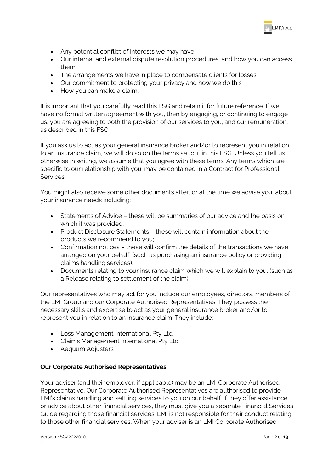

- Any potential conflict of interests we may have
- Our internal and external dispute resolution procedures, and how you can access them
- The arrangements we have in place to compensate clients for losses
- Our commitment to protecting your privacy and how we do this
- How you can make a claim.

It is important that you carefully read this FSG and retain it for future reference. If we have no formal written agreement with you, then by engaging, or continuing to engage us, you are agreeing to both the provision of our services to you, and our remuneration, as described in this FSG.

If you ask us to act as your general insurance broker and/or to represent you in relation to an insurance claim, we will do so on the terms set out in this FSG. Unless you tell us otherwise in writing, we assume that you agree with these terms. Any terms which are specific to our relationship with you, may be contained in a Contract for Professional Services.

You might also receive some other documents after, or at the time we advise you, about your insurance needs including:

- Statements of Advice these will be summaries of our advice and the basis on which it was provided;
- Product Disclosure Statements these will contain information about the products we recommend to you;
- Confirmation notices these will confirm the details of the transactions we have arranged on your behalf, (such as purchasing an insurance policy or providing claims handling services);
- Documents relating to your insurance claim which we will explain to you, (such as a Release relating to settlement of the claim).

Our representatives who may act for you include our employees, directors, members of the LMI Group and our Corporate Authorised Representatives. They possess the necessary skills and expertise to act as your general insurance broker and/or to represent you in relation to an insurance claim. They include:

- Loss Management International Pty Ltd
- Claims Management International Pty Ltd
- Aequum Adjusters

# <span id="page-3-0"></span>**Our Corporate Authorised Representatives**

Your adviser (and their employer, if applicable) may be an LMI Corporate Authorised Representative. Our Corporate Authorised Representatives are authorised to provide LMI's claims handling and settling services to you on our behalf. If they offer assistance or advice about other financial services, they must give you a separate Financial Services Guide regarding those financial services. LMI is not responsible for their conduct relating to those other financial services. When your adviser is an LMI Corporate Authorised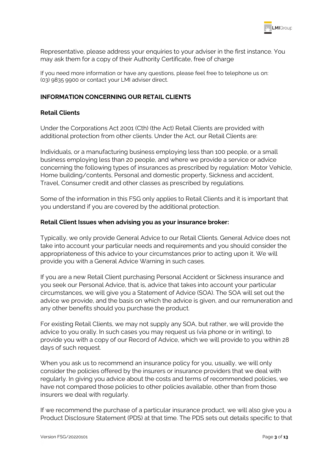

Representative, please address your enquiries to your adviser in the first instance. You may ask them for a copy of their Authority Certificate, free of charge

If you need more information or have any questions, please feel free to telephone us on: (03) 9835 9900 or contact your LMI adviser direct.

# <span id="page-4-0"></span>**INFORMATION CONCERNING OUR RETAIL CLIENTS**

# <span id="page-4-1"></span>**Retail Clients**

Under the Corporations Act 2001 (Cth) (the Act) Retail Clients are provided with additional protection from other clients. Under the Act, our Retail Clients are:

Individuals, or a manufacturing business employing less than 100 people, or a small business employing less than 20 people, and where we provide a service or advice concerning the following types of insurances as prescribed by regulation: Motor Vehicle, Home building/contents, Personal and domestic property, Sickness and accident, Travel, Consumer credit and other classes as prescribed by regulations.

Some of the information in this FSG only applies to Retail Clients and it is important that you understand if you are covered by the additional protection.

#### <span id="page-4-2"></span>**Retail Client Issues when advising you as your insurance broker:**

Typically, we only provide General Advice to our Retail Clients. General Advice does not take into account your particular needs and requirements and you should consider the appropriateness of this advice to your circumstances prior to acting upon it. We will provide you with a General Advice Warning in such cases.

If you are a new Retail Client purchasing Personal Accident or Sickness insurance and you seek our Personal Advice, that is, advice that takes into account your particular circumstances, we will give you a Statement of Advice (SOA). The SOA will set out the advice we provide, and the basis on which the advice is given, and our remuneration and any other benefits should you purchase the product.

For existing Retail Clients, we may not supply any SOA, but rather, we will provide the advice to you orally. In such cases you may request us (via phone or in writing), to provide you with a copy of our Record of Advice, which we will provide to you within 28 days of such request.

When you ask us to recommend an insurance policy for you, usually, we will only consider the policies offered by the insurers or insurance providers that we deal with regularly. In giving you advice about the costs and terms of recommended policies, we have not compared those policies to other policies available, other than from those insurers we deal with regularly.

If we recommend the purchase of a particular insurance product, we will also give you a Product Disclosure Statement (PDS) at that time. The PDS sets out details specific to that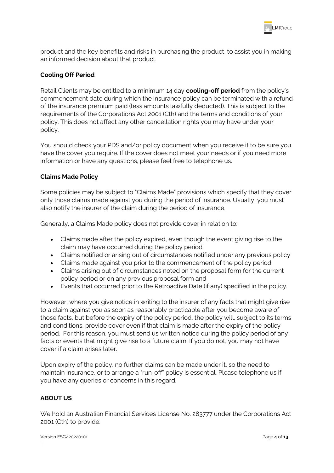

product and the key benefits and risks in purchasing the product, to assist you in making an informed decision about that product.

# <span id="page-5-0"></span>**Cooling Off Period**

Retail Clients may be entitled to a minimum 14 day **cooling-off period** from the policy's commencement date during which the insurance policy can be terminated with a refund of the insurance premium paid (less amounts lawfully deducted). This is subject to the requirements of the Corporations Act 2001 (Cth) and the terms and conditions of your policy. This does not affect any other cancellation rights you may have under your policy.

You should check your PDS and/or policy document when you receive it to be sure you have the cover you require. If the cover does not meet your needs or if you need more information or have any questions, please feel free to telephone us.

# <span id="page-5-1"></span>**Claims Made Policy**

Some policies may be subject to "Claims Made" provisions which specify that they cover only those claims made against you during the period of insurance. Usually, you must also notify the insurer of the claim during the period of insurance.

Generally, a Claims Made policy does not provide cover in relation to:

- Claims made after the policy expired, even though the event giving rise to the claim may have occurred during the policy period
- Claims notified or arising out of circumstances notified under any previous policy
- Claims made against you prior to the commencement of the policy period
- Claims arising out of circumstances noted on the proposal form for the current policy period or on any previous proposal form and
- Events that occurred prior to the Retroactive Date (if any) specified in the policy.

However, where you give notice in writing to the insurer of any facts that might give rise to a claim against you as soon as reasonably practicable after you become aware of those facts, but before the expiry of the policy period, the policy will, subject to its terms and conditions, provide cover even if that claim is made after the expiry of the policy period. For this reason, you must send us written notice during the policy period of any facts or events that might give rise to a future claim. If you do not, you may not have cover if a claim arises later.

Upon expiry of the policy, no further claims can be made under it, so the need to maintain insurance, or to arrange a "run-off" policy is essential. Please telephone us if you have any queries or concerns in this regard.

# <span id="page-5-2"></span>**ABOUT US**

We hold an Australian Financial Services License No. 283777 under the Corporations Act 2001 (Cth) to provide: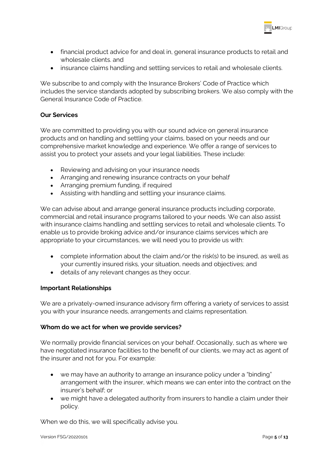

- financial product advice for and deal in, general insurance products to retail and wholesale clients. and
- insurance claims handling and settling services to retail and wholesale clients.

We subscribe to and comply with the Insurance Brokers' Code of Practice which includes the service standards adopted by subscribing brokers. We also comply with the General Insurance Code of Practice.

# <span id="page-6-0"></span>**Our Services**

We are committed to providing you with our sound advice on general insurance products and on handling and settling your claims, based on your needs and our comprehensive market knowledge and experience. We offer a range of services to assist you to protect your assets and your legal liabilities. These include:

- Reviewing and advising on your insurance needs
- Arranging and renewing insurance contracts on your behalf
- Arranging premium funding, if required
- Assisting with handling and settling your insurance claims.

We can advise about and arrange general insurance products including corporate, commercial and retail insurance programs tailored to your needs. We can also assist with insurance claims handling and settling services to retail and wholesale clients. To enable us to provide broking advice and/or insurance claims services which are appropriate to your circumstances, we will need you to provide us with:

- complete information about the claim and/or the risk(s) to be insured, as well as your currently insured risks, your situation, needs and objectives; and
- details of any relevant changes as they occur.

# <span id="page-6-1"></span>**Important Relationships**

We are a privately-owned insurance advisory firm offering a variety of services to assist you with your insurance needs, arrangements and claims representation.

# <span id="page-6-2"></span>**Whom do we act for when we provide services?**

We normally provide financial services on your behalf. Occasionally, such as where we have negotiated insurance facilities to the benefit of our clients, we may act as agent of the insurer and not for you. For example:

- we may have an authority to arrange an insurance policy under a "binding" arrangement with the insurer, which means we can enter into the contract on the insurer's behalf; or
- we might have a delegated authority from insurers to handle a claim under their policy.

When we do this, we will specifically advise you.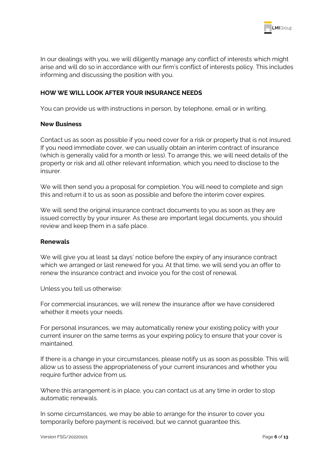

In our dealings with you, we will diligently manage any conflict of interests which might arise and will do so in accordance with our firm's conflict of interests policy. This includes informing and discussing the position with you.

# <span id="page-7-0"></span>**HOW WE WILL LOOK AFTER YOUR INSURANCE NEEDS**

You can provide us with instructions in person, by telephone, email or in writing.

#### <span id="page-7-1"></span>**New Business**

Contact us as soon as possible if you need cover for a risk or property that is not insured. If you need immediate cover, we can usually obtain an interim contract of insurance (which is generally valid for a month or less). To arrange this, we will need details of the property or risk and all other relevant information, which you need to disclose to the insurer.

We will then send you a proposal for completion. You will need to complete and sign this and return it to us as soon as possible and before the interim cover expires.

We will send the original insurance contract documents to you as soon as they are issued correctly by your insurer. As these are important legal documents, you should review and keep them in a safe place.

#### <span id="page-7-2"></span>**Renewals**

We will give you at least 14 days' notice before the expiry of any insurance contract which we arranged or last renewed for you. At that time, we will send you an offer to renew the insurance contract and invoice you for the cost of renewal.

Unless you tell us otherwise:

For commercial insurances, we will renew the insurance after we have considered whether it meets your needs.

For personal insurances, we may automatically renew your existing policy with your current insurer on the same terms as your expiring policy to ensure that your cover is maintained.

If there is a change in your circumstances, please notify us as soon as possible. This will allow us to assess the appropriateness of your current insurances and whether you require further advice from us.

Where this arrangement is in place, you can contact us at any time in order to stop automatic renewals.

In some circumstances, we may be able to arrange for the insurer to cover you temporarily before payment is received, but we cannot guarantee this.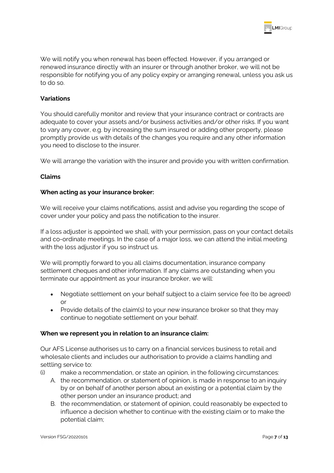

We will notify you when renewal has been effected. However, if you arranged or renewed insurance directly with an insurer or through another broker, we will not be responsible for notifying you of any policy expiry or arranging renewal, unless you ask us to do so.

# <span id="page-8-0"></span>**Variations**

You should carefully monitor and review that your insurance contract or contracts are adequate to cover your assets and/or business activities and/or other risks. If you want to vary any cover, e.g. by increasing the sum insured or adding other property, please promptly provide us with details of the changes you require and any other information you need to disclose to the insurer.

We will arrange the variation with the insurer and provide you with written confirmation.

#### <span id="page-8-1"></span>**Claims**

#### **When acting as your insurance broker:**

We will receive your claims notifications, assist and advise you regarding the scope of cover under your policy and pass the notification to the insurer.

If a loss adjuster is appointed we shall, with your permission, pass on your contact details and co-ordinate meetings. In the case of a major loss, we can attend the initial meeting with the loss adjustor if you so instruct us.

We will promptly forward to you all claims documentation, insurance company settlement cheques and other information. If any claims are outstanding when you terminate our appointment as your insurance broker, we will:

- Negotiate settlement on your behalf subject to a claim service fee (to be agreed) or
- Provide details of the claim(s) to your new insurance broker so that they may continue to negotiate settlement on your behalf.

#### **When we represent you in relation to an insurance claim:**

Our AFS License authorises us to carry on a financial services business to retail and wholesale clients and includes our authorisation to provide a claims handling and settling service to:

- (i) make a recommendation, or state an opinion, in the following circumstances:
	- A. the recommendation, or statement of opinion, is made in response to an inquiry by or on behalf of another person about an existing or a potential claim by the other person under an insurance product; and
	- B. the recommendation, or statement of opinion, could reasonably be expected to influence a decision whether to continue with the existing claim or to make the potential claim;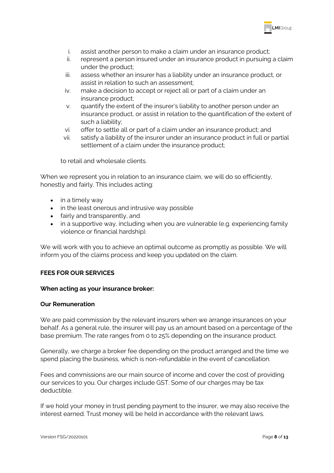

- i. assist another person to make a claim under an insurance product;
- ii. represent a person insured under an insurance product in pursuing a claim under the product;
- iii. assess whether an insurer has a liability under an insurance product, or assist in relation to such an assessment;
- iv. make a decision to accept or reject all or part of a claim under an insurance product;
- v. quantify the extent of the insurer's liability to another person under an insurance product, or assist in relation to the quantification of the extent of such a liability;
- vi. offer to settle all or part of a claim under an insurance product; and
- vii. satisfy a liability of the insurer under an insurance product in full or partial settlement of a claim under the insurance product;

to retail and wholesale clients.

When we represent you in relation to an insurance claim, we will do so efficiently, honestly and fairly. This includes acting:

- in a timely way
- in the least onerous and intrusive way possible
- fairly and transparently, and
- in a supportive way, including when you are vulnerable (e.g. experiencing family violence or financial hardship).

We will work with you to achieve an optimal outcome as promptly as possible. We will inform you of the claims process and keep you updated on the claim.

# <span id="page-9-0"></span>**FEES FOR OUR SERVICES**

# **When acting as your insurance broker:**

# <span id="page-9-1"></span>**Our Remuneration**

We are paid commission by the relevant insurers when we arrange insurances on your behalf. As a general rule, the insurer will pay us an amount based on a percentage of the base premium. The rate ranges from 0 to 25% depending on the insurance product.

Generally, we charge a broker fee depending on the product arranged and the time we spend placing the business, which is non-refundable in the event of cancellation.

Fees and commissions are our main source of income and cover the cost of providing our services to you. Our charges include GST. Some of our charges may be tax deductible.

If we hold your money in trust pending payment to the insurer, we may also receive the interest earned. Trust money will be held in accordance with the relevant laws.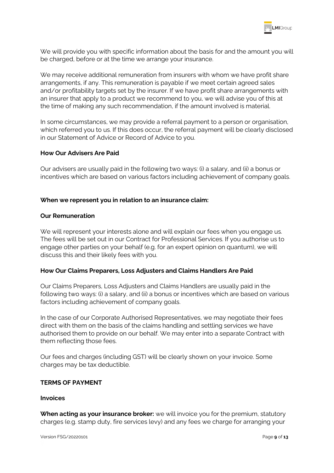

We will provide you with specific information about the basis for and the amount you will be charged, before or at the time we arrange your insurance.

We may receive additional remuneration from insurers with whom we have profit share arrangements, if any. This remuneration is payable if we meet certain agreed sales and/or profitability targets set by the insurer. If we have profit share arrangements with an insurer that apply to a product we recommend to you, we will advise you of this at the time of making any such recommendation, if the amount involved is material.

In some circumstances, we may provide a referral payment to a person or organisation, which referred you to us. If this does occur, the referral payment will be clearly disclosed in our Statement of Advice or Record of Advice to you.

#### <span id="page-10-0"></span>**How Our Advisers Are Paid**

Our advisers are usually paid in the following two ways: (i) a salary, and (ii) a bonus or incentives which are based on various factors including achievement of company goals.

#### **When we represent you in relation to an insurance claim:**

#### **Our Remuneration**

We will represent your interests alone and will explain our fees when you engage us. The fees will be set out in our Contract for Professional Services. If you authorise us to engage other parties on your behalf (e.g. for an expert opinion on quantum), we will discuss this and their likely fees with you.

# <span id="page-10-1"></span>**How Our Claims Preparers, Loss Adjusters and Claims Handlers Are Paid**

Our Claims Preparers, Loss Adjusters and Claims Handlers are usually paid in the following two ways: (i) a salary, and (ii) a bonus or incentives which are based on various factors including achievement of company goals.

In the case of our Corporate Authorised Representatives, we may negotiate their fees direct with them on the basis of the claims handling and settling services we have authorised them to provide on our behalf. We may enter into a separate Contract with them reflecting those fees.

Our fees and charges (including GST) will be clearly shown on your invoice. Some charges may be tax deductible.

#### <span id="page-10-2"></span>**TERMS OF PAYMENT**

#### <span id="page-10-3"></span>**Invoices**

**When acting as your insurance broker:** we will invoice you for the premium, statutory charges (e.g. stamp duty, fire services levy) and any fees we charge for arranging your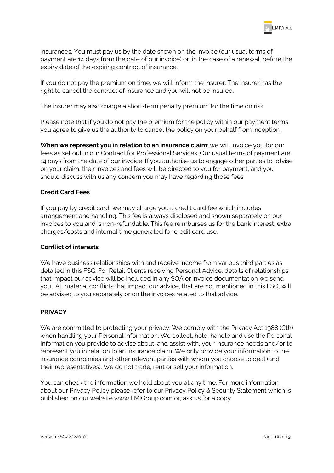

insurances. You must pay us by the date shown on the invoice (our usual terms of payment are 14 days from the date of our invoice) or, in the case of a renewal, before the expiry date of the expiring contract of insurance.

If you do not pay the premium on time, we will inform the insurer. The insurer has the right to cancel the contract of insurance and you will not be insured.

The insurer may also charge a short-term penalty premium for the time on risk.

Please note that if you do not pay the premium for the policy within our payment terms, you agree to give us the authority to cancel the policy on your behalf from inception.

**When we represent you in relation to an insurance claim:** we will invoice you for our fees as set out in our Contract for Professional Services. Our usual terms of payment are 14 days from the date of our invoice. If you authorise us to engage other parties to advise on your claim, their invoices and fees will be directed to you for payment, and you should discuss with us any concern you may have regarding those fees.

# <span id="page-11-0"></span>**Credit Card Fees**

If you pay by credit card, we may charge you a credit card fee which includes arrangement and handling. This fee is always disclosed and shown separately on our invoices to you and is non-refundable. This fee reimburses us for the bank interest, extra charges/costs and internal time generated for credit card use.

#### **Conflict of interests**

We have business relationships with and receive income from various third parties as detailed in this FSG. For Retail Clients receiving Personal Advice, details of relationships that impact our advice will be included in any SOA or invoice documentation we send you. All material conflicts that impact our advice, that are not mentioned in this FSG, will be advised to you separately or on the invoices related to that advice.

#### <span id="page-11-1"></span>**PRIVACY**

We are committed to protecting your privacy. We comply with the Privacy Act 1988 (Cth) when handling your Personal Information. We collect, hold, handle and use the Personal Information you provide to advise about, and assist with, your insurance needs and/or to represent you in relation to an insurance claim. We only provide your information to the insurance companies and other relevant parties with whom you choose to deal (and their representatives). We do not trade, rent or sell your information.

You can check the information we hold about you at any time. For more information about our Privacy Policy please refer to our Privacy Policy & Security Statement which is published on our website www.LMIGroup.com or, ask us for a copy.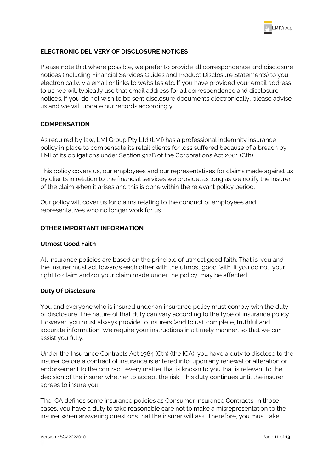

# <span id="page-12-0"></span>**ELECTRONIC DELIVERY OF DISCLOSURE NOTICES**

Please note that where possible, we prefer to provide all correspondence and disclosure notices (including Financial Services Guides and Product Disclosure Statements) to you electronically, via email or links to websites etc. If you have provided your email address to us, we will typically use that email address for all correspondence and disclosure notices. If you do not wish to be sent disclosure documents electronically, please advise us and we will update our records accordingly.

# <span id="page-12-1"></span>**COMPENSATION**

As required by law, LMI Group Pty Ltd (LMI) has a professional indemnity insurance policy in place to compensate its retail clients for loss suffered because of a breach by LMI of its obligations under Section 912B of the Corporations Act 2001 (Cth).

This policy covers us, our employees and our representatives for claims made against us by clients in relation to the financial services we provide, as long as we notify the insurer of the claim when it arises and this is done within the relevant policy period.

Our policy will cover us for claims relating to the conduct of employees and representatives who no longer work for us.

#### <span id="page-12-2"></span>**OTHER IMPORTANT INFORMATION**

#### **Utmost Good Faith**

All insurance policies are based on the principle of utmost good faith. That is, you and the insurer must act towards each other with the utmost good faith. If you do not, your right to claim and/or your claim made under the policy, may be affected.

#### <span id="page-12-3"></span>**Duty Of Disclosure**

You and everyone who is insured under an insurance policy must comply with the duty of disclosure. The nature of that duty can vary according to the type of insurance policy. However, you must always provide to insurers (and to us), complete, truthful and accurate information. We require your instructions in a timely manner, so that we can assist you fully.

Under the Insurance Contracts Act 1984 (Cth) (the ICA), you have a duty to disclose to the insurer before a contract of insurance is entered into, upon any renewal or alteration or endorsement to the contract, every matter that is known to you that is relevant to the decision of the insurer whether to accept the risk. This duty continues until the insurer agrees to insure you.

The ICA defines some insurance policies as Consumer Insurance Contracts. In those cases, you have a duty to take reasonable care not to make a misrepresentation to the insurer when answering questions that the insurer will ask. Therefore, you must take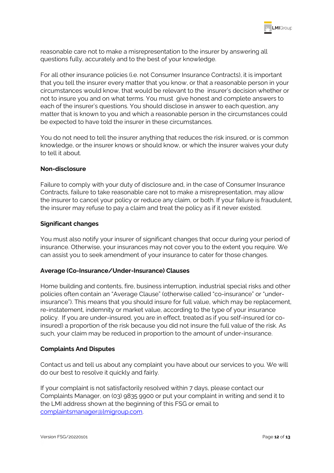

reasonable care not to make a misrepresentation to the insurer by answering all questions fully, accurately and to the best of your knowledge.

For all other insurance policies (i.e. not Consumer Insurance Contracts), it is important that you tell the insurer every matter that you know, or that a reasonable person in your circumstances would know, that would be relevant to the insurer's decision whether or not to insure you and on what terms. You must give honest and complete answers to each of the insurer's questions. You should disclose in answer to each question, any matter that is known to you and which a reasonable person in the circumstances could be expected to have told the insurer in these circumstances.

You do not need to tell the insurer anything that reduces the risk insured, or is common knowledge, or the insurer knows or should know, or which the insurer waives your duty to tell it about.

#### **Non-disclosure**

Failure to comply with your duty of disclosure and, in the case of Consumer Insurance Contracts, failure to take reasonable care not to make a misrepresentation, may allow the insurer to cancel your policy or reduce any claim, or both. If your failure is fraudulent, the insurer may refuse to pay a claim and treat the policy as if it never existed.

#### **Significant changes**

You must also notify your insurer of significant changes that occur during your period of insurance. Otherwise, your insurances may not cover you to the extent you require. We can assist you to seek amendment of your insurance to cater for those changes.

# <span id="page-13-0"></span>**Average (Co-Insurance/Under-Insurance) Clauses**

Home building and contents, fire, business interruption, industrial special risks and other policies often contain an "Average Clause" (otherwise called "co-insurance" or "underinsurance"). This means that you should insure for full value, which may be replacement, re-instatement, indemnity or market value, according to the type of your insurance policy. If you are under-insured, you are in effect, treated as if you self-insured (or coinsured) a proportion of the risk because you did not insure the full value of the risk. As such, your claim may be reduced in proportion to the amount of under-insurance.

#### <span id="page-13-1"></span>**Complaints And Disputes**

Contact us and tell us about any complaint you have about our services to you. We will do our best to resolve it quickly and fairly.

If your complaint is not satisfactorily resolved within 7 days, please contact our Complaints Manager, on (03) 9835 9900 or put your complaint in writing and send it to the LMI address shown at the beginning of this FSG or email to [complaintsmanager@lmigroup.com.](mailto:complaintsmanager@lmigroup.com)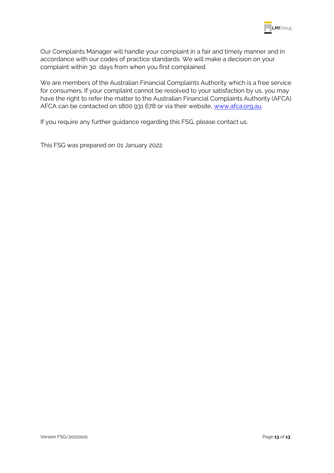

Our Complaints Manager will handle your complaint in a fair and timely manner and in accordance with our codes of practice standards. We will make a decision on your complaint within 30 days from when you first complained.

We are members of the Australian Financial Complaints Authority which is a free service for consumers. If your complaint cannot be resolved to your satisfaction by us, you may have the right to refer the matter to the Australian Financial Complaints Authority (AFCA). AFCA can be contacted on 1800 931 678 or via their website, [www.afca.org.au.](http://www.afca.org.au/)

If you require any further guidance regarding this FSG, please contact us.

This FSG was prepared on 01 January 2022.